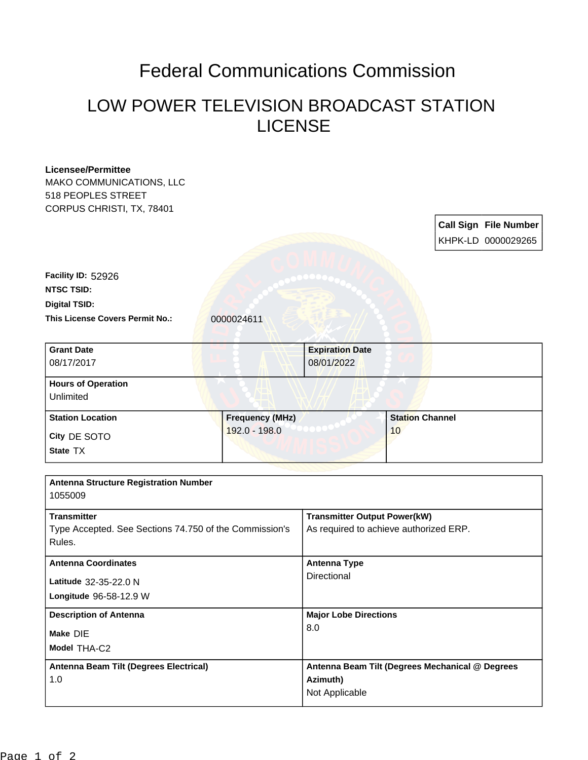## Federal Communications Commission

## LOW POWER TELEVISION BROADCAST STATION LICENSE

| <b>Licensee/Permittee</b>                                                    |                        |                                                                               |                        |  |                              |
|------------------------------------------------------------------------------|------------------------|-------------------------------------------------------------------------------|------------------------|--|------------------------------|
| MAKO COMMUNICATIONS, LLC                                                     |                        |                                                                               |                        |  |                              |
| 518 PEOPLES STREET                                                           |                        |                                                                               |                        |  |                              |
| CORPUS CHRISTI, TX, 78401                                                    |                        |                                                                               |                        |  |                              |
|                                                                              |                        |                                                                               |                        |  | <b>Call Sign File Number</b> |
|                                                                              |                        |                                                                               |                        |  | KHPK-LD 0000029265           |
|                                                                              |                        |                                                                               |                        |  |                              |
|                                                                              |                        |                                                                               |                        |  |                              |
| Facility ID: 52926                                                           |                        |                                                                               |                        |  |                              |
| <b>NTSC TSID:</b>                                                            |                        |                                                                               |                        |  |                              |
| <b>Digital TSID:</b>                                                         |                        |                                                                               |                        |  |                              |
| This License Covers Permit No.:                                              | 0000024611             |                                                                               |                        |  |                              |
|                                                                              |                        |                                                                               |                        |  |                              |
| <b>Grant Date</b>                                                            |                        | <b>Expiration Date</b>                                                        |                        |  |                              |
| 08/17/2017                                                                   |                        | 08/01/2022                                                                    |                        |  |                              |
|                                                                              |                        |                                                                               |                        |  |                              |
| <b>Hours of Operation</b>                                                    |                        |                                                                               |                        |  |                              |
| Unlimited                                                                    |                        |                                                                               |                        |  |                              |
| <b>Station Location</b>                                                      | <b>Frequency (MHz)</b> |                                                                               | <b>Station Channel</b> |  |                              |
|                                                                              | 192.0 - 198.0          |                                                                               | 10                     |  |                              |
| City DE SOTO                                                                 |                        |                                                                               |                        |  |                              |
| State TX                                                                     |                        |                                                                               |                        |  |                              |
|                                                                              |                        |                                                                               |                        |  |                              |
| <b>Antenna Structure Registration Number</b>                                 |                        |                                                                               |                        |  |                              |
| 1055009                                                                      |                        |                                                                               |                        |  |                              |
|                                                                              |                        |                                                                               |                        |  |                              |
| <b>Transmitter</b><br>Type Accepted. See Sections 74.750 of the Commission's |                        | <b>Transmitter Output Power(kW)</b><br>As required to achieve authorized ERP. |                        |  |                              |
|                                                                              |                        |                                                                               |                        |  |                              |
| <b>Antenna Coordinates</b>                                                   |                        | <b>Antenna Type</b>                                                           |                        |  |                              |
|                                                                              |                        | Directional                                                                   |                        |  |                              |
| Latitude 32-35-22.0 N                                                        |                        |                                                                               |                        |  |                              |
| Longitude 96-58-12.9 W                                                       |                        |                                                                               |                        |  |                              |
| <b>Description of Antenna</b><br>Make DIE                                    |                        | <b>Major Lobe Directions</b>                                                  |                        |  |                              |
|                                                                              |                        | 8.0                                                                           |                        |  |                              |
| Model THA-C2                                                                 |                        |                                                                               |                        |  |                              |
|                                                                              |                        |                                                                               |                        |  |                              |
| Antenna Beam Tilt (Degrees Electrical)                                       |                        | Antenna Beam Tilt (Degrees Mechanical @ Degrees                               |                        |  |                              |
| 1.0                                                                          |                        | Azimuth)                                                                      |                        |  |                              |
|                                                                              |                        | Not Applicable                                                                |                        |  |                              |
|                                                                              |                        |                                                                               |                        |  |                              |